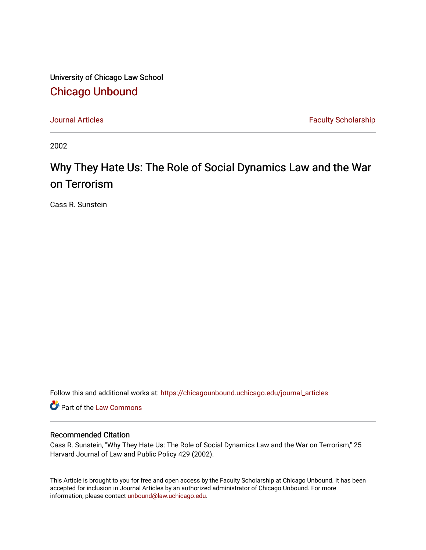University of Chicago Law School [Chicago Unbound](https://chicagounbound.uchicago.edu/)

[Journal Articles](https://chicagounbound.uchicago.edu/journal_articles) **Faculty Scholarship Journal Articles** 

2002

# Why They Hate Us: The Role of Social Dynamics Law and the War on Terrorism

Cass R. Sunstein

Follow this and additional works at: [https://chicagounbound.uchicago.edu/journal\\_articles](https://chicagounbound.uchicago.edu/journal_articles?utm_source=chicagounbound.uchicago.edu%2Fjournal_articles%2F8628&utm_medium=PDF&utm_campaign=PDFCoverPages) 

Part of the [Law Commons](http://network.bepress.com/hgg/discipline/578?utm_source=chicagounbound.uchicago.edu%2Fjournal_articles%2F8628&utm_medium=PDF&utm_campaign=PDFCoverPages)

# Recommended Citation

Cass R. Sunstein, "Why They Hate Us: The Role of Social Dynamics Law and the War on Terrorism," 25 Harvard Journal of Law and Public Policy 429 (2002).

This Article is brought to you for free and open access by the Faculty Scholarship at Chicago Unbound. It has been accepted for inclusion in Journal Articles by an authorized administrator of Chicago Unbound. For more information, please contact [unbound@law.uchicago.edu](mailto:unbound@law.uchicago.edu).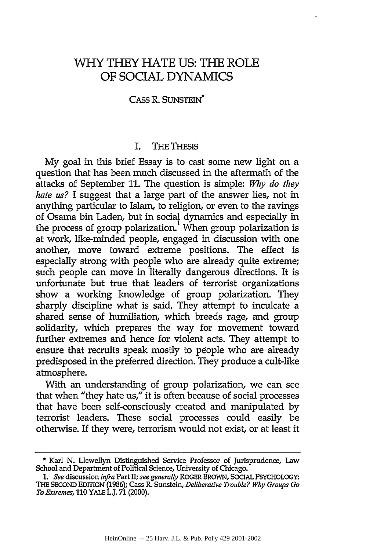# WHY THEY HATE **US:** THE ROLE OF SOCIAL DYNAMICS

## CASS R. SUNSTEIn\*

### I. THE THESIS

My goal in this brief Essay is to cast some new light on a question that has been much discussed in the aftermath of the attacks of September **11.** The question is simple: *Why do they hate us?* I suggest that a large part of the answer lies, not in anything particular to Islam, to religion, or even to the ravings of Osama bin Laden, but in social dynamics and especially in the process of group polarization. When group polarization is at work, like-minded people, engaged in discussion with one another, move toward extreme positions. The effect is especially strong with people who are already quite extreme; such people can move in literally dangerous directions. It is unfortunate but true that leaders of terrorist organizations show a working knowledge of group polarization. They sharply discipline what is said. They attempt to inculcate a shared sense of humiliation, which breeds rage, and group solidarity, which prepares the way for movement toward further extremes and hence for violent acts. They attempt to ensure that recruits speak mostly to people who are already predisposed in the preferred direction. They produce a cult-like atmosphere.

With an understanding of group polarization, we can see that when "they hate us," it is often because of social processes that have been self-consciously created and manipulated by terrorist leaders. These social processes could easily be otherwise. If they were, terrorism would not exist, or at least it

**<sup>\*</sup>** Karl **N.** Llewellyn Distinguished Service Professor of Jurisprudence, Law School and Department of Political Science, University of Chicago.

*<sup>1.</sup> See* discussion *infra* Part II; *see generally* ROGER BROWN, SOCIAL PSYCHOLOGY: THE SECOND **EDITION** (1986); Cass R. Sunstein, *Deliberative Trouble? Why Groups Go To Extremes,* **110** YALE L.J. **71** (2000).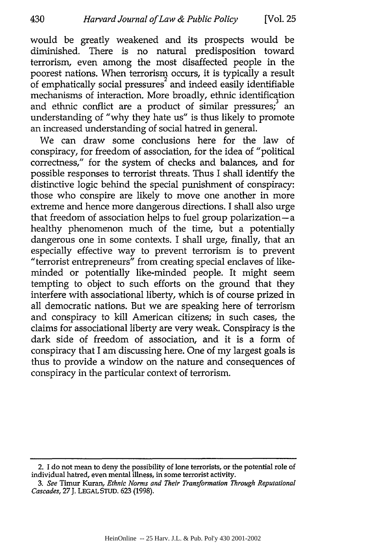would be greatly weakened and its prospects would be diminished. There is no natural predisposition toward terrorism, even among the most disaffected people in the poorest nations. When terrorism occurs, it is typically a result of emphatically social pressures<sup>2</sup> and indeed easily identifiable mechanisms of interaction. More broadly, ethnic identification **3** and ethnic conflict are a product of similar pressures;<sup>3</sup> an understanding of "why they hate us" is thus likely to promote an increased understanding of social hatred in general.

We can draw some conclusions here for the law of conspiracy, for freedom of association, for the idea of "political correctness," for the system of checks and balances, and for possible responses to terrorist threats. Thus I shall identify the distinctive logic behind the special punishment of conspiracy: those who conspire are likely to move one another in more extreme and hence more dangerous directions. I shall also urge that freedom of association helps to fuel group polarization-a healthy phenomenon much of the time, but a potentially dangerous one in some contexts. I shall urge, finally, that an especially effective way to prevent terrorism is to prevent "terrorist entrepreneurs" from creating special enclaves of likeminded or potentially like-minded people. It might seem tempting to object to such efforts on the ground that they interfere with associational liberty, which is of course prized in all democratic nations. But we are speaking here of terrorism and conspiracy to kill American citizens; in such cases, the claims for associational liberty are very weak. Conspiracy is the dark side of freedom of association, and it is a form of conspiracy that I am discussing here. One of my largest goals is thus to provide a window on the nature and consequences of conspiracy in the particular context of terrorism.

<sup>2.</sup> I do not mean to deny the possibility of lone terrorists, or the potential role of individual hatred, even mental illness, in some terrorist activity.

*<sup>3.</sup> See* Timur Kuran, *Ethnic Norms and Their Transformation Through Reputational Cascades, 27* J. **LEGAL** STUD. 623 (1998).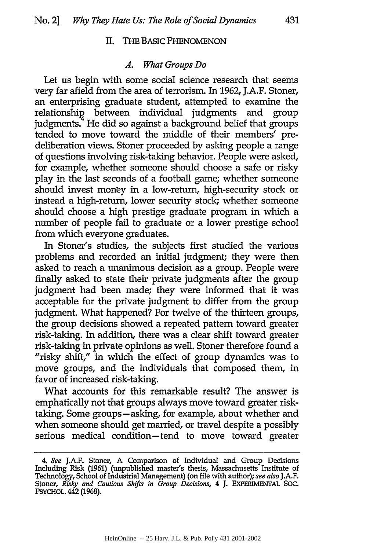#### II. THE BASIC PHENOMENON

#### *A. What Groups Do*

Let us begin with some social science research that seems very far afield from the area of terrorism. In 1962, J.A.F. Stoner, an enterprising graduate student, attempted to examine the relationship between individual judgments and group judgments.<sup>4</sup> He did so against a background belief that groups tended to move toward the middle of their members' predeliberation views. Stoner proceeded by asking people a range of questions involving risk-taking behavior. People were asked, for example, whether someone should choose a safe or risky play in the last seconds of a football game; whether someone should invest money in a low-return, high-security stock or instead a high-return, lower security stock; whether someone should choose a high prestige graduate program in which a number of people fail to graduate or a lower prestige school from which everyone graduates.

In Stoner's studies, the subjects first studied the various problems and recorded an initial judgment; they were then asked to reach a unanimous decision as a group. People were finally asked to state their private judgments after the group judgment had been made; they were informed that it was acceptable for the private judgment to differ from the group judgment. What happened? For twelve of the thirteen groups, the group decisions showed a repeated pattern toward greater risk-taking. In addition, there was a clear shift toward greater risk-taking in private opinions as well. Stoner therefore found a "risky shift," in which the effect of group dynamics was to move groups, and the individuals that composed them, in favor of increased risk-taking.

What accounts for this remarkable result? The answer is emphatically not that groups always move toward greater risktaking. Some groups-asking, for example, about whether and when someone should get married, or travel despite a possibly serious medical condition-tend to move toward greater

<sup>4.</sup> *See* **J.A.F.** Stoner, A Comparison of Individual and Group Decisions Including Risk (1961) (unpublished master's thesis, Massachusetts Institute of Technology, School of Industrial Management) (on file with author); *see also* **J.A.F.** Stoner, *Risky and Cautious Shifts in Group Decisions,* 4 **J. EXPERIMENTAL SOC.** PSYCHOL. 442 **(1968).**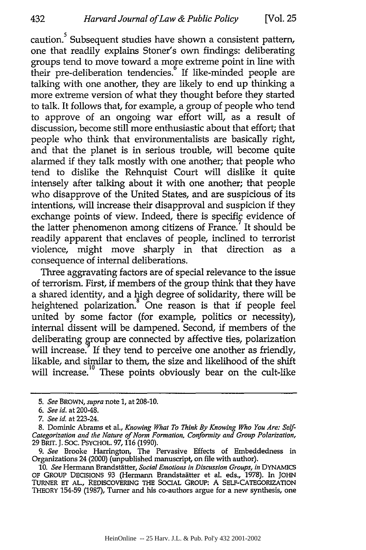caution.<sup>5</sup> Subsequent studies have shown a consistent pattern, one that readily explains Stoner's own findings: deliberating groups tend to move toward a more **• 6** extreme point in line with their pre-deliberation tendencies.<sup>6</sup> If like-minded people are talking with one another, they are likely to end up thinking a more extreme version of what they thought before they started to talk. It follows that, for example, a group of people who tend to approve of an ongoing war effort will, as a result of discussion, become still more enthusiastic about that effort; that people who think that environmentalists are basically right, and that the planet is in serious trouble, will become quite alarmed if they talk mostly with one another; that people who tend to dislike the Rehnquist Court will dislike it quite intensely after talking about it with one another; that people who disapprove of the United States, and are suspicious of its intentions, will increase their disapproval and suspicion if they exchange points of view. Indeed, there is specific evidence of the latter phenomenon among citizens of France. It should be readily apparent that enclaves of people, inclined to terrorist violence, might move sharply in that direction as a consequence of internal deliberations.

Three aggravating factors are of special relevance to the issue of terrorism. First, if members of the group think that they have a shared identity, and a high degree of solidarity, there will be heightened polarization.<sup>8</sup> One reason is that if people feel united by some factor (for example, politics or necessity), internal dissent will be dampened. Second, if members of the deliberating group are connected by affective ties, polarization will increase. If they tend to perceive one another as friendly, likable, and similar to them, the size and likelihood of the shift will increase. These points obviously bear on the cult-like

*<sup>5.</sup> See* BROWN, *supra* note 1, at 208-10.

*<sup>6.</sup> See id.* at 200-48.

*<sup>7.</sup> See id.* at 223-24.

<sup>8.</sup> Dominic Abrams et al., *Knowing What To Think By Knowing Who You Are: Self-Categorization and the Nature of Norm Formation, Conformity and Group Polarization,* 29 BRrr. J. Soc. PSYCHOL. **97,116** (1990).

*<sup>9.</sup> See* Brooke Harrington, The Pervasive Effects of Embeddedness in Organizations 24 (2000) (unpublished manuscript, on file with author).

**<sup>10.</sup>** *See* Hermann Brandsttter, *Social Emotions in Discussion Groups, in* DYNAMICS OF GROUP **DECISIONS 93** (Hermann Brandstaitter et al. eds., 1978). In JOHN TURNER Er **AL.,** REDISCOVERING **THE SOCIAL** GROUP: **A** SELF-CATEGORIZATION THEORY 154-59 (1987), Turner and his co-authors argue for a new synthesis, one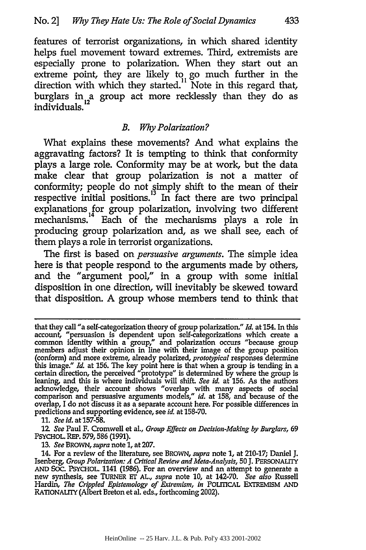features of terrorist organizations, in which shared identity helps fuel movement toward extremes. Third, extremists are especially prone to polarization. When they start out an extreme point, they are likely to go much further in the direction with which they started." Note in this regard that, burglars in a group act more recklessly than they do as individuals.

## *B. Why Polarization?*

What explains these movements? And what explains the aggravating factors? It is tempting to think that conformity plays a large role. Conformity may be at work, but the data make clear that group polarization is not a matter of conformity; people do not simply shift to the mean of their respective initial positions.<sup>13</sup> In fact there are two principal explanations for group polarization, involving two different mechanisms." Each of the mechanisms plays a role in producing group polarization and, as we shall see, each of them plays a role in terrorist organizations.

The first is based on *persuasive arguments.* The simple idea here is that people respond to the arguments made by others, and the "argument pool," in a group with some initial disposition in one direction, will inevitably be skewed toward that disposition. A group whose members tend to think that

**11.** *See id.* at **157-58.**

*12. See* Paul F. Cromwell et al., *Group Effects on Decision-Making by Burglars,* **69** PSYCHOL. REP. 579,586 (1991).

**13.** *See* BROWN, *supra* note **1,** at 207.

that they call "a self-categorization theory of group polarization." *Id.* at 154. In this account, "persuasion is dependent upon self-categorizations which create a common identity within a group," and polarization occurs "because group members adjust their opinion in line with their image of the group position (conform) and more extreme, already polarized, *prototypical* responses determine this **inage."** *Id.* at **156.** The key point here is that when a group is tending in **a** certain direction, the perceived "prototype" is determined **by** where the group **is** leaning, and this is where individuals will shift. *See id.* at **156.** As the authors acknowledge, their account shows "overlap with many aspects of social comparison and persuasive arguments models," *id.* at **158,** and because of the overlap, I do not discuss it as a separate account here. For possible differences in predictions and supporting evidence, see *id.* at **158-70.**

<sup>14.</sup> For a review of the literature, see BROWN, *supra* note **1,** at **210-17;** Daniel J. Isenberg, *Group Polarization: A Critical Review and Meta-Analysis,* 50 J. PERSONALITY **AND** SOC. PSYCHOL. 1141 (1986). For an overview and an attempt to generate a new synthesis, see TURNER **E' AL.,** *supra* note **10,** at 142-70. *See also* Russell Hardin, *The Crippled Epistemology of Extremism, in* POLITICAL EXTREMISM AND RATIONALrIY (Albert Breton et al. eds., forthcoming 2002).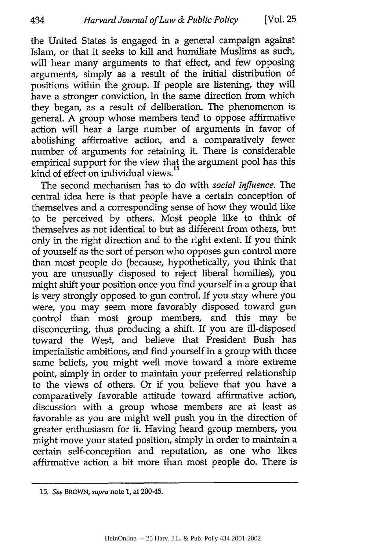the United States is engaged in a general campaign against Islam, or that it seeks to kill and humiliate Muslims as such, will hear many arguments to that effect, and few opposing arguments, simply as a result of the initial distribution of positions within the group. If people are listening, they will have a stronger conviction, in the same direction from which they began, as a result of deliberation. The phenomenon is general. A group whose members tend to oppose affirmative action will hear a large number of arguments in favor of abolishing affirmative action, and a comparatively fewer number of arguments for retaining it. There is considerable empirical support for the view that the argument pool has this kind of effect on individual views.

The second mechanism has to do with *social influence. The* central idea here is that people have a certain conception of themselves and a corresponding sense of how they would like to be perceived by others. Most people like to think of themselves as not identical to but as different from others, but only in the right direction and to the right extent. If you think of yourself as the sort of person who opposes gun control more than most people do (because, hypothetically, you think that you are unusually disposed to reject liberal homilies), you might shift your position once you find yourself in a group that is very strongly opposed to gun control. If you stay where you were, you may seem more favorably disposed toward gun control than most group members, and this may be disconcerting, thus producing a shift. If you are ill-disposed toward the West, and believe that President Bush has imperialistic ambitions, and find yourself in a group with those same beliefs, you might well move toward a more extreme point, simply in order to maintain your preferred relationship to the views of others. Or if you believe that you have a comparatively favorable attitude toward affirmative action, discussion with a group whose members are at least as favorable as you are might well push you in the direction of greater enthusiasm for it. Having heard group members, you might move your stated position, simply in order to maintain a certain self-conception and reputation, as one who likes affirmative action a bit more than most people do. There is

**<sup>15.</sup>** *See* BROWN, *supra* note **1,** at 200-45.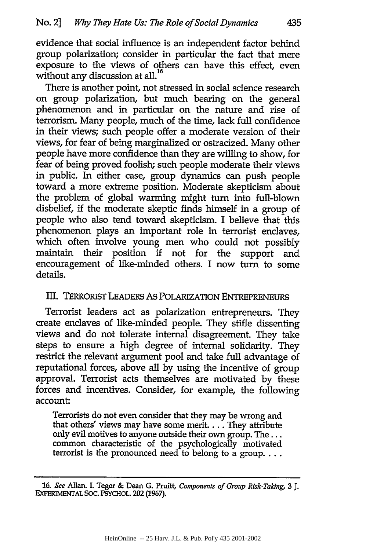evidence that social influence is an independent factor behind group polarization; consider in particular the fact that mere exposure to the views of others can have this effect, even without any discussion at all. **<sup>16</sup>**

There is another point, not stressed in social science research on group polarization, but much bearing on the general phenomenon and in particular on the nature and rise of terrorism. Many people, much of the time, lack full confidence in their views; such people offer a moderate version of their views, for fear of being marginalized or ostracized. Many other people have more confidence than they are willing to show, for fear of being proved foolish; such people moderate their views in public. In either case, group dynamics can push people toward a more extreme position. Moderate skepticism about the problem of global warming might turn into full-blown disbelief, if the moderate skeptic finds himself in a group of people who also tend toward skepticism. I believe that this phenomenon plays an important role in terrorist enclaves, which often involve young men who could not possibly maintain their position if not for the support and encouragement of like-minded others. I now turn to some details.

# III. TERRORIST LEADERS AS POLARIZATION ENTREPRENEURS

Terrorist leaders act as polarization entrepreneurs. They create enclaves of like-minded people. They stifle dissenting views and do not tolerate internal disagreement. They take steps to ensure a high degree of internal solidarity. They restrict the relevant argument pool and take full advantage of reputational forces, above all by using the incentive of group approval. Terrorist acts themselves are motivated by these forces and incentives. Consider, for example, the following account:

Terrorists do not even consider that they may be wrong and that others' views may have some merit... They attribute only evil motives to anyone outside their own group. The... common characteristic of the psychologically motivated terrorist is the pronounced need to belong to a group....

*<sup>16.</sup> See* Allan. I. Teger & Dean G. Pruitt, *Components of Group Risk-Taking, 3* J. **EXwPRENTAL** Soc. PsYCHOL. 202 **(1967).**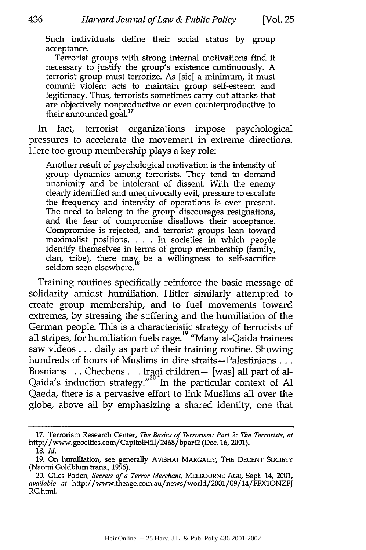Such individuals define their social status **by** group acceptance.

Terrorist groups with strong internal motivations find it necessary to justify the group's existence continuously. A terrorist group must terrorize. As [sic] a minimum, it must commit violent acts to maintain group self-esteem and legitimacy. Thus, terrorists sometimes carry out attacks that are objectively nonproductive or even counterproductive to their announced goal.<sup>17</sup>

In fact, terrorist organizations impose psychological pressures to accelerate the movement in extreme directions. Here too group membership plays a key role:

Another result of psychological motivation is the intensity of group dynamics among terrorists. They tend to demand unanimity and be intolerant of dissent. With the enemy clearly identified and unequivocally evil, pressure to escalate the frequency and intensity of operations is ever present. The need to belong to the group discourages resignations, and the fear of compromise disallows their acceptance. Compromise is rejected, and terrorist groups lean toward maximalist positions. . **.** . In societies in which people identify themselves in terms of group membership (family, clan, tribe), there may, be a willingness to self-sacrifice seldom seen elsewhere.

Training routines specifically reinforce the basic message of solidarity amidst humiliation. Hitler similarly attempted to create group membership, and to fuel movements toward extremes, by stressing the suffering and the humiliation of the German people. This is a characteristic strategy of terrorists of all stripes, for humiliation fuels rage.<sup>19</sup> "Many al-Qaida trainees saw videos.., daily as part of their training routine. Showing hundreds of hours of Muslims in dire straits—Palestinians... Bosnians... Chechens... Iraqi children- [was] all part of al-Qaida's induction strategy." In the particular context of **Al** Qaeda, there is a pervasive effort to link Muslims all over the globe, above all by emphasizing a shared identity, one that

**<sup>17.</sup>** Terrorism Research Center, *The Basics of Terrorism: Part 2: The Terrorists, at* http://www.geocities.com/CapitolHill/2468/bpart2 (Dec. 16, 2001).

**<sup>18.</sup>** *Id.*

**<sup>19.</sup>** On humiliation, see generally **AVISHAI MARGALIT, THE DECENT SOCIETY** (Naomi Goldblum trans., **1996).**

<sup>20.</sup> Giles Foden, *Secrets of a Terror Merchant,* **MELBOURNE AGE,** Sept. 14, 2001, *available at* http://www.theage.com.au/news/world/2001/09/14/FFXIONZFJ RC.html.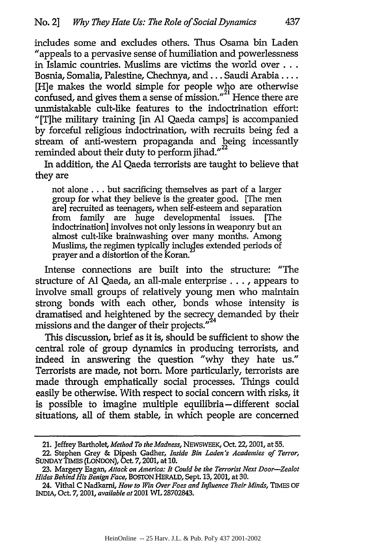includes some and excludes others. Thus Osama bin Laden "appeals to a pervasive sense of humiliation and powerlessness in Islamic countries. Muslims are victims the world over... Bosnia, Somalia, Palestine, Chechnya, and... Saudi Arabia .... [HI]e makes the world **•** simple for people **. .** who **s21** are otherwise confused, and gives them a sense of mission."<sup>21</sup> Hence there are unmistakable cult-like features to the indoctrination effort: "[Tihe military training [in **Al** Qaeda camps] is accompanied by forceful religious indoctrination, with recruits being fed a stream of anti-western propaganda and being incessantly reminded about their duty to perform jihad."<sup>22</sup>

In addition, the **Al** Qaeda terrorists are taught to believe that they are

not alone... but sacrificing themselves as part of a larger group for what they believe is the greater good. [The men are] recruited as teenagers, when self-esteem and separation from family are huge developmental issues. [The indoctrination] involves not only lessons in weaponry but an almost cult-like brainwashing over many months. Among Muslims, the regimen typically includes extended periods of prayer and a distortion of the Koran.

Intense connections are built into the structure: "The structure of **Al** Qaeda, an all-male enterprise... **,** appears to involve small groups of relatively young men who maintain strong bonds with each other, bonds whose intensity is dramatised and heightened by the secrecy demanded by their<br>missions and the danger of their projects."<sup>24</sup>

This discussion, brief as it is, should be sufficient to show the central role of group dynamics in producing terrorists, and indeed in answering the question "why they hate us." Terrorists are made, not born. More particularly, terrorists are made through emphatically social processes. Things could easily be otherwise. With respect to social concern with risks, it is possible to imagine multiple equilibria- different social situations, all of them stable, in which people are concerned

<sup>21.</sup> Jeffrey Bartholet, *Method To the Madness,* NEWSWEEK, Oct. 22,2001, at **55.**

<sup>22.</sup> Stephen Grey **&** Dipesh Gadher, *Inside Bin Laden's Academies of Terror,* SUNDAY TIMES **(LONDON),** Oct. **7,2001,** at **10.**

**<sup>23.</sup>** Margery Eagan, *Attack on America: It Could be the Terrorist Next Door-Zealot Hides Behind His Benign Face,* **BOSTON** HERALD, Sept. **13, 2001,** at 30.

<sup>24.</sup> Vithal **C** Nadkarni, *How to Win Over Foes and Influence Their Minds,* TIMES OF INDIA, Oct. **7,2001,** *available at* 2001 WL **28702843.**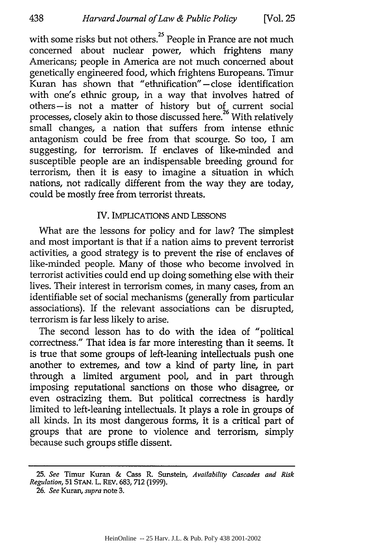with some risks but not others.<sup>25</sup> People in France are not much concerned about nuclear power, which frightens many Americans; people in America are not much concerned about genetically engineered food, which frightens Europeans. Timur Kuran has shown that "ethnification"-close identification with one's ethnic group, in a way that involves hatred of others-is not a matter of history but of current social processes, closely akin to those discussed here.<sup>20</sup> With relatively small changes, a nation that suffers from intense ethnic antagonism could be free from that scourge. So too, I am suggesting, for terrorism. If enclaves of like-minded and susceptible people are an indispensable breeding ground for terrorism, then it is easy to imagine a situation in which nations, not radically different from the way they are today, could be mostly free from terrorist threats.

# IV. IMPLICATIONS AND LESSONS

What are the lessons for policy and for law? The simplest and most important is that if a nation aims to prevent terrorist activities, a good strategy is to prevent the rise of enclaves of like-minded people. Many of those who become involved in terrorist activities could end up doing something else with their lives. Their interest in terrorism comes, in many cases, from an identifiable set of social mechanisms (generally from particular associations). If the relevant associations can be disrupted, terrorism is far less likely to arise.

The second lesson has to do with the idea of "political correctness." That idea is far more interesting than it seems. It is true that some groups of left-leaning intellectuals push one another to extremes, and tow a kind of party line, in part through a limited argument pool, and in part through imposing reputational sanctions on those who disagree, or even ostracizing them. But political correctness is hardly limited to left-leaning intellectuals. It plays a role in groups of all kinds. In its most dangerous forms, it is a critical part of groups that are prone to violence and terrorism, simply because such groups stifle dissent.

<sup>25.</sup> *See* Timur Kuran & Cass R. Sunstein, *Availability Cascades and Risk Regulation,* 51 **STAN.** L. REV. 683,712 (1999).

<sup>26.</sup> *See Kuran, supra* note **3.**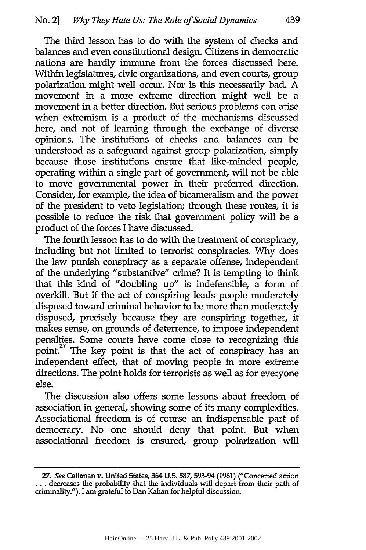The third lesson has to do with the system of checks and balances and even constitutional design. Citizens in democratic nations are hardly immune from the forces discussed here. Within legislatures, civic organizations, and even courts, group polarization might well occur. Nor is this necessarily bad. A movement in a more extreme direction might well be a movement in a better direction. But serious problems can arise when extremism is a product of the mechanisms discussed here, and not of learning through the exchange of diverse opinions. The institutions of checks and balances can be understood as a safeguard against group polarization, simply because those institutions ensure that like-minded people, operating within a single part of government, will not be able to move governmental power in their preferred direction. Consider, for example, the idea of bicameralism and the power of the president to veto legislation; through these routes, it is possible to reduce the risk that government policy will be a product of the forces I have discussed.

The fourth lesson has to do with the treatment of conspiracy, including but not limited to terrorist conspiracies. Why does the law punish conspiracy as a separate offense, independent of the underlying "substantive" crime? It is tempting to think that this kind of "doubling up" is indefensible, a form of overkill. But if the act of conspiring leads people moderately disposed toward criminal behavior to be more than moderately disposed, precisely because they are conspiring together, it makes sense, on grounds of deterrence, to impose independent penalties. Some courts have come close to recognizing this point.<sup>27</sup> The key point is that the act of conspiracy has an independent effect, that of moving people in more extreme directions. The point holds for terrorists as well as for everyone else.

The discussion also offers some lessons about freedom of association in general, showing some of its many complexities. Associational freedom is of course an indispensable part of democracy. No one should deny that point. But when associational freedom is ensured, group polarization will

**<sup>27.</sup>** See Callanan v. United States, 364 U.S. **587,** 593-94 (1961) ("Concerted action **...** decreases the probability that the individuals will depart from their path of criminality."). I am grateful to Dan Kahan for helpful discussion.